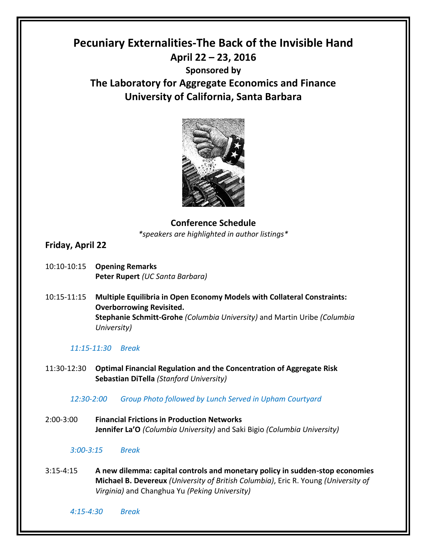# **Pecuniary Externalities-The Back of the Invisible Hand April 22 – 23, 2016 Sponsored by The Laboratory for Aggregate Economics and Finance University of California, Santa Barbara**



**Conference Schedule** *\*speakers are highlighted in author listings\**

# **Friday, April 22**

- 10:10-10:15 **Opening Remarks Peter Rupert** *(UC Santa Barbara)*
- 10:15-11:15 **Multiple Equilibria in Open Economy Models with Collateral Constraints: Overborrowing Revisited. Stephanie Schmitt-Grohe** *(Columbia University)* and Martin Uribe *(Columbia University)*

## *11:15-11:30 Break*

11:30-12:30 **Optimal Financial Regulation and the Concentration of Aggregate Risk Sebastian DiTella** *(Stanford University)*

*12:30-2:00 Group Photo followed by Lunch Served in Upham Courtyard* 

2:00-3:00 **Financial Frictions in Production Networks Jennifer La'O** *(Columbia University)* and Saki Bigio *(Columbia University)*

#### *3:00-3:15 Break*

3:15-4:15 **A new dilemma: capital controls and monetary policy in sudden-stop economies Michael B. Devereux** *(University of British Columbia)*, Eric R. Young *(University of Virginia)* and Changhua Yu *(Peking University)*

*4:15-4:30 Break*